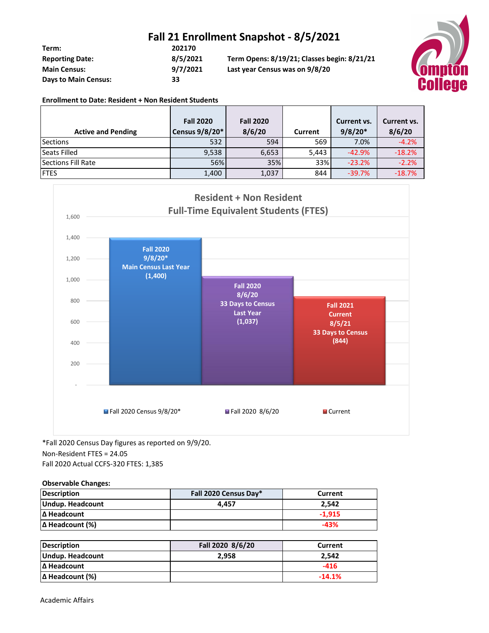## **Fall 21 Enrollment Snapshot - 8/5/2021**

| Term:                       | 202170   |                                             |
|-----------------------------|----------|---------------------------------------------|
| <b>Reporting Date:</b>      | 8/5/2021 | Term Opens: 8/19/21; Classes begin: 8/21/21 |
| <b>Main Census:</b>         | 9/7/2021 | Last year Census was on 9/8/20              |
| <b>Days to Main Census:</b> | 33       |                                             |



#### **Enrollment to Date: Resident + Non Resident Students**

| <b>Active and Pending</b> | <b>Fall 2020</b><br>Census 9/8/20* | <b>Fall 2020</b><br>8/6/20 | Current | Current vs.<br>$9/8/20*$ | Current vs.<br>8/6/20 |
|---------------------------|------------------------------------|----------------------------|---------|--------------------------|-----------------------|
| Sections                  | 532                                | 594                        | 569     | 7.0%                     | $-4.2%$               |
| Seats Filled              | 9,538                              | 6,653                      | 5,443   | $-42.9%$                 | $-18.2%$              |
| Sections Fill Rate        | 56%                                | 35%                        | 33%     | $-23.2%$                 | $-2.2%$               |
| <b>IFTES</b>              | 1,400                              | 1,037                      | 844     | $-39.7%$                 | $-18.7%$              |



\*Fall 2020 Census Day figures as reported on 9/9/20.

## Non-Resident FTES = 24.05

Fall 2020 Actual CCFS-320 FTES: 1,385

### **Observable Changes:**

| Description            | Fall 2020 Census Day* | Current  |
|------------------------|-----------------------|----------|
| Undup. Headcount       | 4.457                 | 2.542    |
| Δ Headcount            |                       | $-1.915$ |
| $\Delta$ Headcount (%) |                       | -43%     |

| Description            | Fall 2020 8/6/20 | Current  |
|------------------------|------------------|----------|
| Undup. Headcount       | 2.958            | 2.542    |
| <b>IΔ Headcount</b>    |                  | -416     |
| $\Delta$ Headcount (%) |                  | $-14.1%$ |